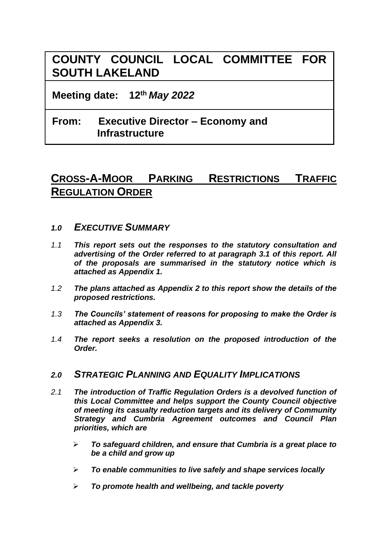# **COUNTY COUNCIL LOCAL COMMITTEE FOR SOUTH LAKELAND**

**Meeting date: 12th** *May 2022*

## **From: Executive Director – Economy and Infrastructure**

## **CROSS-A-MOOR PARKING RESTRICTIONS TRAFFIC REGULATION ORDER**

### *1.0 EXECUTIVE SUMMARY*

- *1.1 This report sets out the responses to the statutory consultation and advertising of the Order referred to at paragraph 3.1 of this report. All of the proposals are summarised in the statutory notice which is attached as Appendix 1.*
- *1.2 The plans attached as Appendix 2 to this report show the details of the proposed restrictions.*
- *1.3 The Councils' statement of reasons for proposing to make the Order is attached as Appendix 3.*
- *1.4 The report seeks a resolution on the proposed introduction of the Order.*

## *2.0 STRATEGIC PLANNING AND EQUALITY IMPLICATIONS*

- *2.1 The introduction of Traffic Regulation Orders is a devolved function of this Local Committee and helps support the County Council objective of meeting its casualty reduction targets and its delivery of Community Strategy and Cumbria Agreement outcomes and Council Plan priorities, which are*
	- ➢ *To safeguard children, and ensure that Cumbria is a great place to be a child and grow up*
	- ➢ *To enable communities to live safely and shape services locally*
	- ➢ *To promote health and wellbeing, and tackle poverty*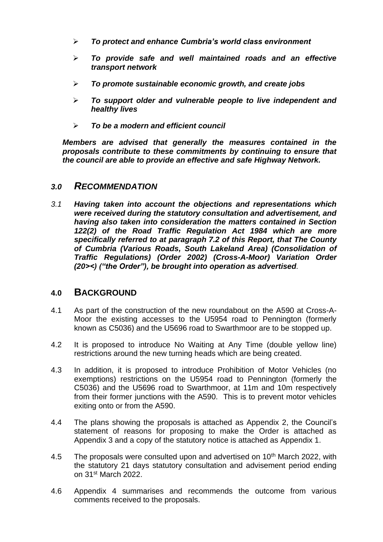- ➢ *To protect and enhance Cumbria's world class environment*
- ➢ *To provide safe and well maintained roads and an effective transport network*
- ➢ *To promote sustainable economic growth, and create jobs*
- ➢ *To support older and vulnerable people to live independent and healthy lives*
- ➢ *To be a modern and efficient council*

*Members are advised that generally the measures contained in the proposals contribute to these commitments by continuing to ensure that the council are able to provide an effective and safe Highway Network.*

### *3.0 RECOMMENDATION*

*3.1 Having taken into account the objections and representations which were received during the statutory consultation and advertisement, and having also taken into consideration the matters contained in Section 122(2) of the Road Traffic Regulation Act 1984 which are more specifically referred to at paragraph 7.2 of this Report, that The County of Cumbria (Various Roads, South Lakeland Area) (Consolidation of Traffic Regulations) (Order 2002) (Cross-A-Moor) Variation Order (20><) ("the Order"), be brought into operation as advertised.*

#### **4.0 BACKGROUND**

- 4.1 As part of the construction of the new roundabout on the A590 at Cross-A-Moor the existing accesses to the U5954 road to Pennington (formerly known as C5036) and the U5696 road to Swarthmoor are to be stopped up.
- 4.2 It is proposed to introduce No Waiting at Any Time (double yellow line) restrictions around the new turning heads which are being created.
- 4.3 In addition, it is proposed to introduce Prohibition of Motor Vehicles (no exemptions) restrictions on the U5954 road to Pennington (formerly the C5036) and the U5696 road to Swarthmoor, at 11m and 10m respectively from their former junctions with the A590. This is to prevent motor vehicles exiting onto or from the A590.
- 4.4 The plans showing the proposals is attached as Appendix 2, the Council's statement of reasons for proposing to make the Order is attached as Appendix 3 and a copy of the statutory notice is attached as Appendix 1.
- 4.5 The proposals were consulted upon and advertised on 10<sup>th</sup> March 2022, with the statutory 21 days statutory consultation and advisement period ending on 31st March 2022.
- 4.6 Appendix 4 summarises and recommends the outcome from various comments received to the proposals.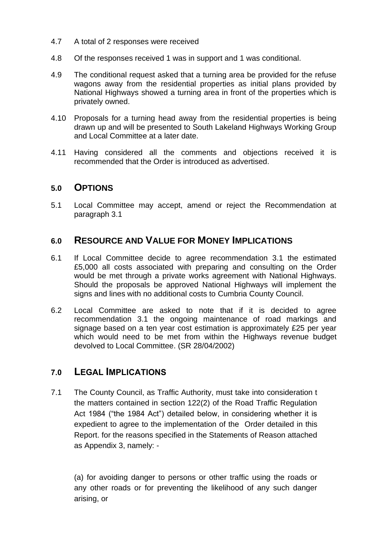- 4.7 A total of 2 responses were received
- 4.8 Of the responses received 1 was in support and 1 was conditional.
- 4.9 The conditional request asked that a turning area be provided for the refuse wagons away from the residential properties as initial plans provided by National Highways showed a turning area in front of the properties which is privately owned.
- 4.10 Proposals for a turning head away from the residential properties is being drawn up and will be presented to South Lakeland Highways Working Group and Local Committee at a later date.
- 4.11 Having considered all the comments and objections received it is recommended that the Order is introduced as advertised.

### **5.0 OPTIONS**

5.1 Local Committee may accept, amend or reject the Recommendation at paragraph 3.1

## **6.0 RESOURCE AND VALUE FOR MONEY IMPLICATIONS**

- 6.1 If Local Committee decide to agree recommendation 3.1 the estimated £5,000 all costs associated with preparing and consulting on the Order would be met through a private works agreement with National Highways. Should the proposals be approved National Highways will implement the signs and lines with no additional costs to Cumbria County Council.
- 6.2 Local Committee are asked to note that if it is decided to agree recommendation 3.1 the ongoing maintenance of road markings and signage based on a ten year cost estimation is approximately £25 per year which would need to be met from within the Highways revenue budget devolved to Local Committee. (SR 28/04/2002)

## **7.0 LEGAL IMPLICATIONS**

7.1 The County Council, as Traffic Authority, must take into consideration t the matters contained in section 122(2) of the Road Traffic Regulation Act 1984 ("the 1984 Act") detailed below, in considering whether it is expedient to agree to the implementation of the Order detailed in this Report. for the reasons specified in the Statements of Reason attached as Appendix 3, namely: -

(a) for avoiding danger to persons or other traffic using the roads or any other roads or for preventing the likelihood of any such danger arising, or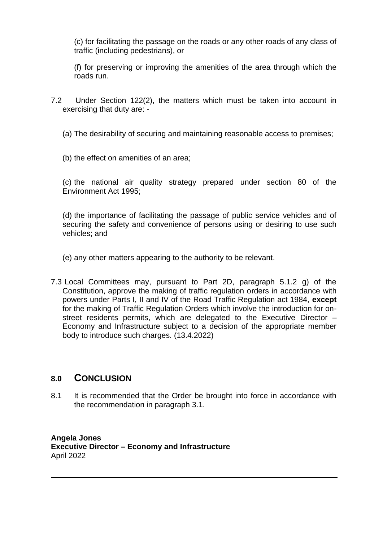(c) for facilitating the passage on the roads or any other roads of any class of traffic (including pedestrians), or

(f) for preserving or improving the amenities of the area through which the roads run.

- 7.2 Under Section 122(2), the matters which must be taken into account in exercising that duty are: -
	- (a) The desirability of securing and maintaining reasonable access to premises;
	- (b) the effect on amenities of an area;

(c) the national air quality strategy prepared under section 80 of the Environment Act 1995;

(d) the importance of facilitating the passage of public service vehicles and of securing the safety and convenience of persons using or desiring to use such vehicles; and

(e) any other matters appearing to the authority to be relevant.

7.3 Local Committees may, pursuant to Part 2D, paragraph 5.1.2 g) of the Constitution, approve the making of traffic regulation orders in accordance with powers under Parts I, II and IV of the Road Traffic Regulation act 1984, **except**  for the making of Traffic Regulation Orders which involve the introduction for onstreet residents permits, which are delegated to the Executive Director – Economy and Infrastructure subject to a decision of the appropriate member body to introduce such charges. (13.4.2022)

## **8.0 CONCLUSION**

8.1 It is recommended that the Order be brought into force in accordance with the recommendation in paragraph 3.1.

**Angela Jones Executive Director – Economy and Infrastructure** April 2022